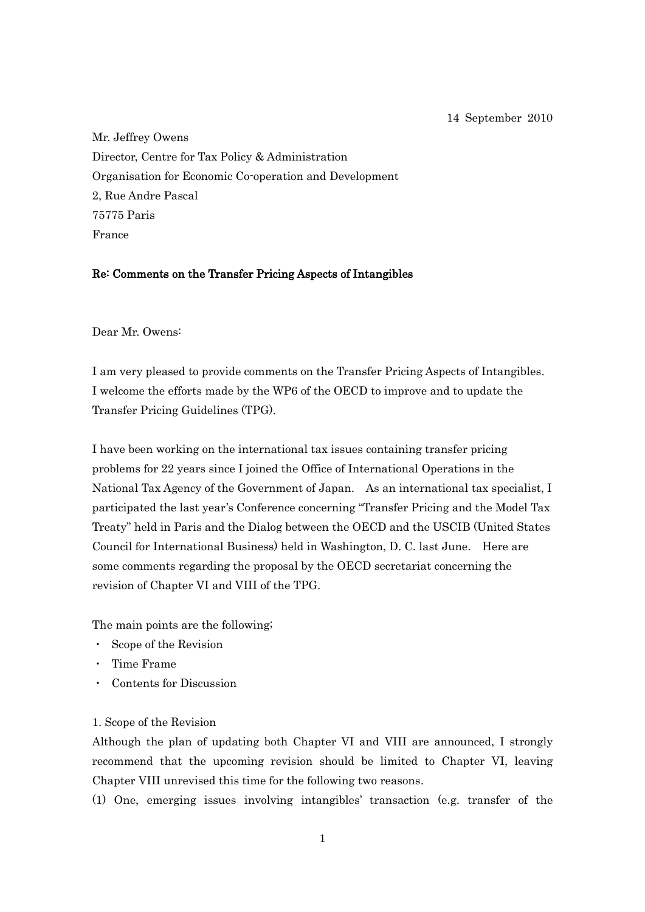### 14 September 2010

Mr. Jeffrey Owens Director, Centre for Tax Policy & Administration Organisation for Economic Co-operation and Development 2, Rue Andre Pascal 75775 Paris France

# Re: Comments on the Transfer Pricing Aspects of Intangibles

Dear Mr. Owens:

I am very pleased to provide comments on the Transfer Pricing Aspects of Intangibles. I welcome the efforts made by the WP6 of the OECD to improve and to update the Transfer Pricing Guidelines (TPG).

I have been working on the international tax issues containing transfer pricing problems for 22 years since I joined the Office of International Operations in the National Tax Agency of the Government of Japan. As an international tax specialist, I participated the last year"s Conference concerning "Transfer Pricing and the Model Tax Treaty" held in Paris and the Dialog between the OECD and the USCIB (United States Council for International Business) held in Washington, D. C. last June. Here are some comments regarding the proposal by the OECD secretariat concerning the revision of Chapter VI and VIII of the TPG.

The main points are the following;

- ・ Scope of the Revision
- ・ Time Frame
- ・ Contents for Discussion

# 1. Scope of the Revision

Although the plan of updating both Chapter VI and VIII are announced, I strongly recommend that the upcoming revision should be limited to Chapter VI, leaving Chapter VIII unrevised this time for the following two reasons.

(1) One, emerging issues involving intangibles" transaction (e.g. transfer of the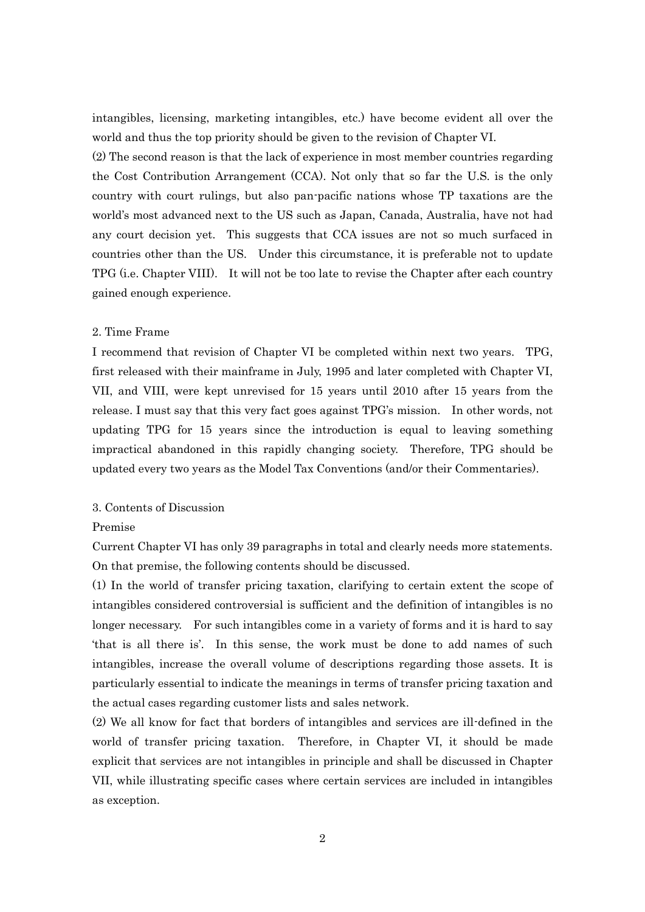intangibles, licensing, marketing intangibles, etc.) have become evident all over the world and thus the top priority should be given to the revision of Chapter VI.

(2) The second reason is that the lack of experience in most member countries regarding the Cost Contribution Arrangement (CCA). Not only that so far the U.S. is the only country with court rulings, but also pan-pacific nations whose TP taxations are the world"s most advanced next to the US such as Japan, Canada, Australia, have not had any court decision yet. This suggests that CCA issues are not so much surfaced in countries other than the US. Under this circumstance, it is preferable not to update TPG (i.e. Chapter VIII). It will not be too late to revise the Chapter after each country gained enough experience.

### 2. Time Frame

I recommend that revision of Chapter VI be completed within next two years. TPG, first released with their mainframe in July, 1995 and later completed with Chapter VI, VII, and VIII, were kept unrevised for 15 years until 2010 after 15 years from the release. I must say that this very fact goes against TPG"s mission. In other words, not updating TPG for 15 years since the introduction is equal to leaving something impractical abandoned in this rapidly changing society. Therefore, TPG should be updated every two years as the Model Tax Conventions (and/or their Commentaries).

# 3. Contents of Discussion

### Premise

Current Chapter VI has only 39 paragraphs in total and clearly needs more statements. On that premise, the following contents should be discussed.

(1) In the world of transfer pricing taxation, clarifying to certain extent the scope of intangibles considered controversial is sufficient and the definition of intangibles is no longer necessary. For such intangibles come in a variety of forms and it is hard to say that is all there is'. In this sense, the work must be done to add names of such intangibles, increase the overall volume of descriptions regarding those assets. It is particularly essential to indicate the meanings in terms of transfer pricing taxation and the actual cases regarding customer lists and sales network.

(2) We all know for fact that borders of intangibles and services are ill-defined in the world of transfer pricing taxation. Therefore, in Chapter VI, it should be made explicit that services are not intangibles in principle and shall be discussed in Chapter VII, while illustrating specific cases where certain services are included in intangibles as exception.